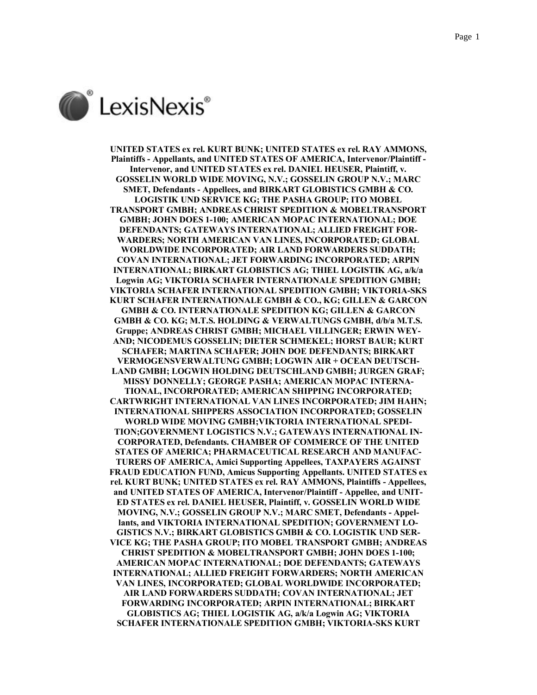

**UNITED STATES ex rel. KURT BUNK; UNITED STATES ex rel. RAY AMMONS, Plaintiffs - Appellants, and UNITED STATES OF AMERICA, Intervenor/Plaintiff - Intervenor, and UNITED STATES ex rel. DANIEL HEUSER, Plaintiff, v. GOSSELIN WORLD WIDE MOVING, N.V.; GOSSELIN GROUP N.V.; MARC SMET, Defendants - Appellees, and BIRKART GLOBISTICS GMBH & CO. LOGISTIK UND SERVICE KG; THE PASHA GROUP; ITO MOBEL TRANSPORT GMBH; ANDREAS CHRIST SPEDITION & MOBELTRANSPORT GMBH; JOHN DOES 1-100; AMERICAN MOPAC INTERNATIONAL; DOE DEFENDANTS; GATEWAYS INTERNATIONAL; ALLIED FREIGHT FOR-WARDERS; NORTH AMERICAN VAN LINES, INCORPORATED; GLOBAL WORLDWIDE INCORPORATED; AIR LAND FORWARDERS SUDDATH; COVAN INTERNATIONAL; JET FORWARDING INCORPORATED; ARPIN INTERNATIONAL; BIRKART GLOBISTICS AG; THIEL LOGISTIK AG, a/k/a Logwin AG; VIKTORIA SCHAFER INTERNATIONALE SPEDITION GMBH; VIKTORIA SCHAFER INTERNATIONAL SPEDITION GMBH; VIKTORIA-SKS KURT SCHAFER INTERNATIONALE GMBH & CO., KG; GILLEN & GARCON GMBH & CO. INTERNATIONALE SPEDITION KG; GILLEN & GARCON GMBH & CO. KG; M.T.S. HOLDING & VERWALTUNGS GMBH, d/b/a M.T.S. Gruppe; ANDREAS CHRIST GMBH; MICHAEL VILLINGER; ERWIN WEY-AND; NICODEMUS GOSSELIN; DIETER SCHMEKEL; HORST BAUR; KURT SCHAFER; MARTINA SCHAFER; JOHN DOE DEFENDANTS; BIRKART VERMOGENSVERWALTUNG GMBH; LOGWIN AIR + OCEAN DEUTSCH-LAND GMBH; LOGWIN HOLDING DEUTSCHLAND GMBH; JURGEN GRAF; MISSY DONNELLY; GEORGE PASHA; AMERICAN MOPAC INTERNA-TIONAL, INCORPORATED; AMERICAN SHIPPING INCORPORATED; CARTWRIGHT INTERNATIONAL VAN LINES INCORPORATED; JIM HAHN; INTERNATIONAL SHIPPERS ASSOCIATION INCORPORATED; GOSSELIN WORLD WIDE MOVING GMBH;VIKTORIA INTERNATIONAL SPEDI-TION;GOVERNMENT LOGISTICS N.V.; GATEWAYS INTERNATIONAL IN-CORPORATED, Defendants. CHAMBER OF COMMERCE OF THE UNITED STATES OF AMERICA; PHARMACEUTICAL RESEARCH AND MANUFAC-TURERS OF AMERICA, Amici Supporting Appellees, TAXPAYERS AGAINST FRAUD EDUCATION FUND, Amicus Supporting Appellants. UNITED STATES ex rel. KURT BUNK; UNITED STATES ex rel. RAY AMMONS, Plaintiffs - Appellees, and UNITED STATES OF AMERICA, Intervenor/Plaintiff - Appellee, and UNIT-ED STATES ex rel. DANIEL HEUSER, Plaintiff, v. GOSSELIN WORLD WIDE MOVING, N.V.; GOSSELIN GROUP N.V.; MARC SMET, Defendants - Appellants, and VIKTORIA INTERNATIONAL SPEDITION; GOVERNMENT LO-GISTICS N.V.; BIRKART GLOBISTICS GMBH & CO. LOGISTIK UND SER-VICE KG; THE PASHA GROUP; ITO MOBEL TRANSPORT GMBH; ANDREAS CHRIST SPEDITION & MOBELTRANSPORT GMBH; JOHN DOES 1-100; AMERICAN MOPAC INTERNATIONAL; DOE DEFENDANTS; GATEWAYS INTERNATIONAL; ALLIED FREIGHT FORWARDERS; NORTH AMERICAN VAN LINES, INCORPORATED; GLOBAL WORLDWIDE INCORPORATED; AIR LAND FORWARDERS SUDDATH; COVAN INTERNATIONAL; JET FORWARDING INCORPORATED; ARPIN INTERNATIONAL; BIRKART GLOBISTICS AG; THIEL LOGISTIK AG, a/k/a Logwin AG; VIKTORIA SCHAFER INTERNATIONALE SPEDITION GMBH; VIKTORIA-SKS KURT**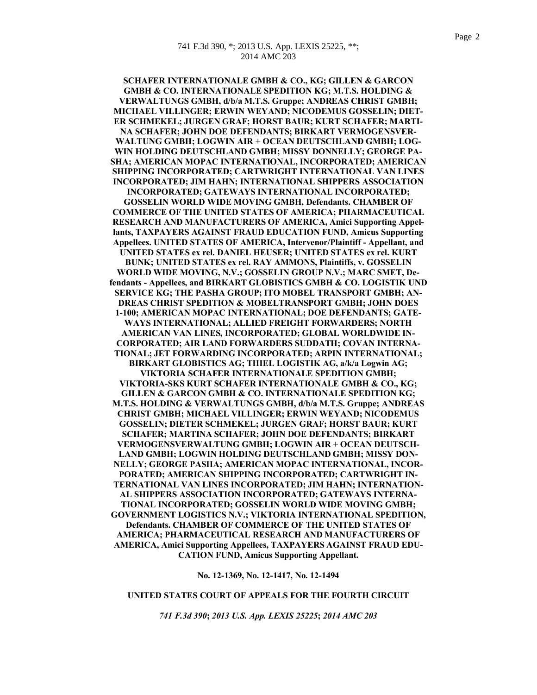**SCHAFER INTERNATIONALE GMBH & CO., KG; GILLEN & GARCON GMBH & CO. INTERNATIONALE SPEDITION KG; M.T.S. HOLDING & VERWALTUNGS GMBH, d/b/a M.T.S. Gruppe; ANDREAS CHRIST GMBH; MICHAEL VILLINGER; ERWIN WEYAND; NICODEMUS GOSSELIN; DIET-ER SCHMEKEL; JURGEN GRAF; HORST BAUR; KURT SCHAFER; MARTI-NA SCHAFER; JOHN DOE DEFENDANTS; BIRKART VERMOGENSVER-WALTUNG GMBH; LOGWIN AIR + OCEAN DEUTSCHLAND GMBH; LOG-WIN HOLDING DEUTSCHLAND GMBH; MISSY DONNELLY; GEORGE PA-SHA; AMERICAN MOPAC INTERNATIONAL, INCORPORATED; AMERICAN SHIPPING INCORPORATED; CARTWRIGHT INTERNATIONAL VAN LINES INCORPORATED; JIM HAHN; INTERNATIONAL SHIPPERS ASSOCIATION INCORPORATED; GATEWAYS INTERNATIONAL INCORPORATED; GOSSELIN WORLD WIDE MOVING GMBH, Defendants. CHAMBER OF COMMERCE OF THE UNITED STATES OF AMERICA; PHARMACEUTICAL RESEARCH AND MANUFACTURERS OF AMERICA, Amici Supporting Appellants, TAXPAYERS AGAINST FRAUD EDUCATION FUND, Amicus Supporting Appellees. UNITED STATES OF AMERICA, Intervenor/Plaintiff - Appellant, and UNITED STATES ex rel. DANIEL HEUSER; UNITED STATES ex rel. KURT BUNK; UNITED STATES ex rel. RAY AMMONS, Plaintiffs, v. GOSSELIN WORLD WIDE MOVING, N.V.; GOSSELIN GROUP N.V.; MARC SMET, Defendants - Appellees, and BIRKART GLOBISTICS GMBH & CO. LOGISTIK UND SERVICE KG; THE PASHA GROUP; ITO MOBEL TRANSPORT GMBH; AN-DREAS CHRIST SPEDITION & MOBELTRANSPORT GMBH; JOHN DOES 1-100; AMERICAN MOPAC INTERNATIONAL; DOE DEFENDANTS; GATE-WAYS INTERNATIONAL; ALLIED FREIGHT FORWARDERS; NORTH AMERICAN VAN LINES, INCORPORATED; GLOBAL WORLDWIDE IN-CORPORATED; AIR LAND FORWARDERS SUDDATH; COVAN INTERNA-TIONAL; JET FORWARDING INCORPORATED; ARPIN INTERNATIONAL; BIRKART GLOBISTICS AG; THIEL LOGISTIK AG, a/k/a Logwin AG; VIKTORIA SCHAFER INTERNATIONALE SPEDITION GMBH; VIKTORIA-SKS KURT SCHAFER INTERNATIONALE GMBH & CO., KG; GILLEN & GARCON GMBH & CO. INTERNATIONALE SPEDITION KG; M.T.S. HOLDING & VERWALTUNGS GMBH, d/b/a M.T.S. Gruppe; ANDREAS CHRIST GMBH; MICHAEL VILLINGER; ERWIN WEYAND; NICODEMUS GOSSELIN; DIETER SCHMEKEL; JURGEN GRAF; HORST BAUR; KURT SCHAFER; MARTINA SCHAFER; JOHN DOE DEFENDANTS; BIRKART VERMOGENSVERWALTUNG GMBH; LOGWIN AIR + OCEAN DEUTSCH-LAND GMBH; LOGWIN HOLDING DEUTSCHLAND GMBH; MISSY DON-NELLY; GEORGE PASHA; AMERICAN MOPAC INTERNATIONAL, INCOR-PORATED; AMERICAN SHIPPING INCORPORATED; CARTWRIGHT IN-TERNATIONAL VAN LINES INCORPORATED; JIM HAHN; INTERNATION-AL SHIPPERS ASSOCIATION INCORPORATED; GATEWAYS INTERNA-TIONAL INCORPORATED; GOSSELIN WORLD WIDE MOVING GMBH; GOVERNMENT LOGISTICS N.V.; VIKTORIA INTERNATIONAL SPEDITION, Defendants. CHAMBER OF COMMERCE OF THE UNITED STATES OF AMERICA; PHARMACEUTICAL RESEARCH AND MANUFACTURERS OF AMERICA, Amici Supporting Appellees, TAXPAYERS AGAINST FRAUD EDU-CATION FUND, Amicus Supporting Appellant.**

**No. 12-1369, No. 12-1417, No. 12-1494**

### **UNITED STATES COURT OF APPEALS FOR THE FOURTH CIRCUIT**

*741 F.3d 390***;** *2013 U.S. App. LEXIS 25225***;** *2014 AMC 203*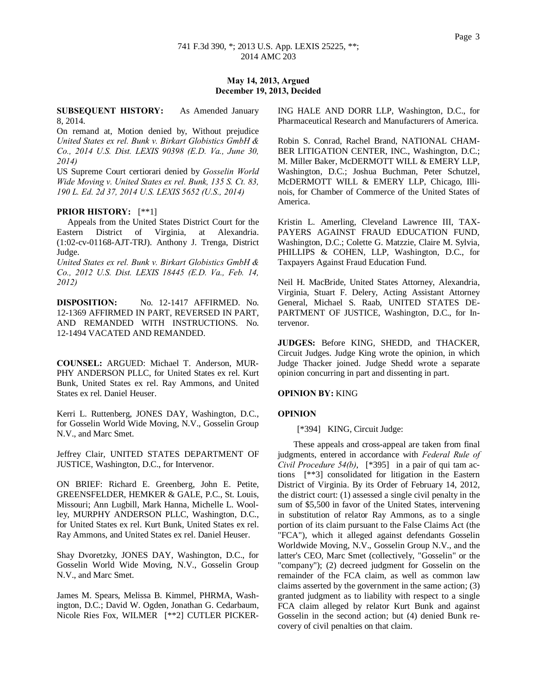# **May 14, 2013, Argued December 19, 2013, Decided**

## **SUBSEQUENT HISTORY:** As Amended January 8, 2014.

On remand at, Motion denied by, Without prejudice *United States ex rel. Bunk v. Birkart Globistics GmbH & Co., 2014 U.S. Dist. LEXIS 90398 (E.D. Va., June 30, 2014)*

US Supreme Court certiorari denied by *Gosselin World Wide Moving v. United States ex rel. Bunk, 135 S. Ct. 83, 190 L. Ed. 2d 37, 2014 U.S. LEXIS 5652 (U.S., 2014)*

# **PRIOR HISTORY:** [\*\*1]

 Appeals from the United States District Court for the Eastern District of Virginia, at Alexandria. (1:02-cv-01168-AJT-TRJ). Anthony J. Trenga, District Judge.

*United States ex rel. Bunk v. Birkart Globistics GmbH & Co., 2012 U.S. Dist. LEXIS 18445 (E.D. Va., Feb. 14, 2012)*

**DISPOSITION:** No. 12-1417 AFFIRMED. No. 12-1369 AFFIRMED IN PART, REVERSED IN PART, AND REMANDED WITH INSTRUCTIONS. No. 12-1494 VACATED AND REMANDED.

**COUNSEL:** ARGUED: Michael T. Anderson, MUR-PHY ANDERSON PLLC, for United States ex rel. Kurt Bunk, United States ex rel. Ray Ammons, and United States ex rel. Daniel Heuser.

Kerri L. Ruttenberg, JONES DAY, Washington, D.C., for Gosselin World Wide Moving, N.V., Gosselin Group N.V., and Marc Smet.

Jeffrey Clair, UNITED STATES DEPARTMENT OF JUSTICE, Washington, D.C., for Intervenor.

ON BRIEF: Richard E. Greenberg, John E. Petite, GREENSFELDER, HEMKER & GALE, P.C., St. Louis, Missouri; Ann Lugbill, Mark Hanna, Michelle L. Woolley, MURPHY ANDERSON PLLC, Washington, D.C., for United States ex rel. Kurt Bunk, United States ex rel. Ray Ammons, and United States ex rel. Daniel Heuser.

Shay Dvoretzky, JONES DAY, Washington, D.C., for Gosselin World Wide Moving, N.V., Gosselin Group N.V., and Marc Smet.

James M. Spears, Melissa B. Kimmel, PHRMA, Washington, D.C.; David W. Ogden, Jonathan G. Cedarbaum, Nicole Ries Fox, WILMER [\*\*2] CUTLER PICKER-

ING HALE AND DORR LLP, Washington, D.C., for Pharmaceutical Research and Manufacturers of America.

Robin S. Conrad, Rachel Brand, NATIONAL CHAM-BER LITIGATION CENTER, INC., Washington, D.C.; M. Miller Baker, McDERMOTT WILL & EMERY LLP, Washington, D.C.; Joshua Buchman, Peter Schutzel, McDERMOTT WILL & EMERY LLP, Chicago, Illinois, for Chamber of Commerce of the United States of America.

Kristin L. Amerling, Cleveland Lawrence III, TAX-PAYERS AGAINST FRAUD EDUCATION FUND, Washington, D.C.; Colette G. Matzzie, Claire M. Sylvia, PHILLIPS & COHEN, LLP, Washington, D.C., for Taxpayers Against Fraud Education Fund.

Neil H. MacBride, United States Attorney, Alexandria, Virginia, Stuart F. Delery, Acting Assistant Attorney General, Michael S. Raab, UNITED STATES DE-PARTMENT OF JUSTICE, Washington, D.C., for Intervenor.

**JUDGES:** Before KING, SHEDD, and THACKER, Circuit Judges. Judge King wrote the opinion, in which Judge Thacker joined. Judge Shedd wrote a separate opinion concurring in part and dissenting in part.

#### **OPINION BY:** KING

#### **OPINION**

[\*394] KING, Circuit Judge:

These appeals and cross-appeal are taken from final judgments, entered in accordance with *Federal Rule of Civil Procedure 54(b)*, [\*395] in a pair of qui tam actions [\*\*3] consolidated for litigation in the Eastern District of Virginia. By its Order of February 14, 2012, the district court: (1) assessed a single civil penalty in the sum of \$5,500 in favor of the United States, intervening in substitution of relator Ray Ammons, as to a single portion of its claim pursuant to the False Claims Act (the "FCA"), which it alleged against defendants Gosselin Worldwide Moving, N.V., Gosselin Group N.V., and the latter's CEO, Marc Smet (collectively, "Gosselin" or the "company"); (2) decreed judgment for Gosselin on the remainder of the FCA claim, as well as common law claims asserted by the government in the same action; (3) granted judgment as to liability with respect to a single FCA claim alleged by relator Kurt Bunk and against Gosselin in the second action; but (4) denied Bunk recovery of civil penalties on that claim.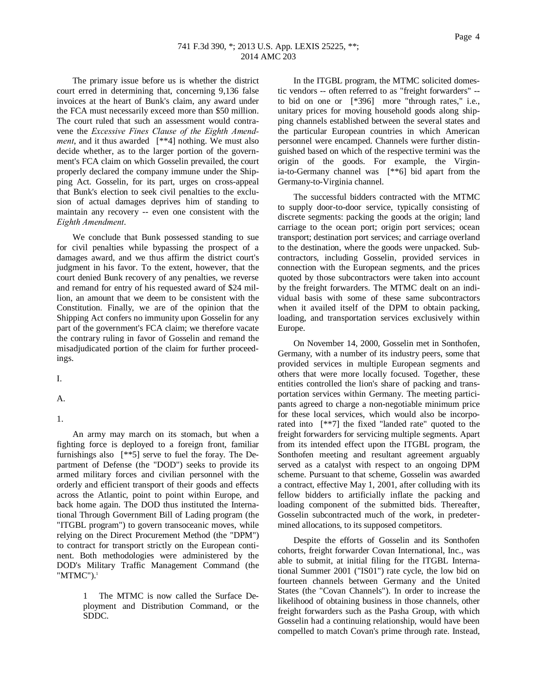Page 4

The primary issue before us is whether the district court erred in determining that, concerning 9,136 false invoices at the heart of Bunk's claim, any award under the FCA must necessarily exceed more than \$50 million. The court ruled that such an assessment would contravene the *Excessive Fines Clause of the Eighth Amendment*, and it thus awarded [\*\*4] nothing. We must also decide whether, as to the larger portion of the government's FCA claim on which Gosselin prevailed, the court properly declared the company immune under the Shipping Act. Gosselin, for its part, urges on cross-appeal that Bunk's election to seek civil penalties to the exclusion of actual damages deprives him of standing to maintain any recovery -- even one consistent with the *Eighth Amendment*.

We conclude that Bunk possessed standing to sue for civil penalties while bypassing the prospect of a damages award, and we thus affirm the district court's judgment in his favor. To the extent, however, that the court denied Bunk recovery of any penalties, we reverse and remand for entry of his requested award of \$24 million, an amount that we deem to be consistent with the Constitution. Finally, we are of the opinion that the Shipping Act confers no immunity upon Gosselin for any part of the government's FCA claim; we therefore vacate the contrary ruling in favor of Gosselin and remand the misadjudicated portion of the claim for further proceedings.

I.

A.

1.

An army may march on its stomach, but when a fighting force is deployed to a foreign front, familiar furnishings also [\*\*5] serve to fuel the foray. The Department of Defense (the "DOD") seeks to provide its armed military forces and civilian personnel with the orderly and efficient transport of their goods and effects across the Atlantic, point to point within Europe, and back home again. The DOD thus instituted the International Through Government Bill of Lading program (the "ITGBL program") to govern transoceanic moves, while relying on the Direct Procurement Method (the "DPM") to contract for transport strictly on the European continent. Both methodologies were administered by the DOD's Military Traffic Management Command (the  $"MTMC"$ ).<sup>1</sup>

> 1 The MTMC is now called the Surface Deployment and Distribution Command, or the SDDC.

In the ITGBL program, the MTMC solicited domestic vendors -- often referred to as "freight forwarders" - to bid on one or [\*396] more "through rates," i.e., unitary prices for moving household goods along shipping channels established between the several states and the particular European countries in which American personnel were encamped. Channels were further distinguished based on which of the respective termini was the origin of the goods. For example, the Virginia-to-Germany channel was [\*\*6] bid apart from the Germany-to-Virginia channel.

The successful bidders contracted with the MTMC to supply door-to-door service, typically consisting of discrete segments: packing the goods at the origin; land carriage to the ocean port; origin port services; ocean transport; destination port services; and carriage overland to the destination, where the goods were unpacked. Subcontractors, including Gosselin, provided services in connection with the European segments, and the prices quoted by those subcontractors were taken into account by the freight forwarders. The MTMC dealt on an individual basis with some of these same subcontractors when it availed itself of the DPM to obtain packing, loading, and transportation services exclusively within Europe.

On November 14, 2000, Gosselin met in Sonthofen, Germany, with a number of its industry peers, some that provided services in multiple European segments and others that were more locally focused. Together, these entities controlled the lion's share of packing and transportation services within Germany. The meeting participants agreed to charge a non-negotiable minimum price for these local services, which would also be incorporated into [\*\*7] the fixed "landed rate" quoted to the freight forwarders for servicing multiple segments. Apart from its intended effect upon the ITGBL program, the Sonthofen meeting and resultant agreement arguably served as a catalyst with respect to an ongoing DPM scheme. Pursuant to that scheme, Gosselin was awarded a contract, effective May 1, 2001, after colluding with its fellow bidders to artificially inflate the packing and loading component of the submitted bids. Thereafter, Gosselin subcontracted much of the work, in predetermined allocations, to its supposed competitors.

Despite the efforts of Gosselin and its Sonthofen cohorts, freight forwarder Covan International, Inc., was able to submit, at initial filing for the ITGBL International Summer 2001 ("IS01") rate cycle, the low bid on fourteen channels between Germany and the United States (the "Covan Channels"). In order to increase the likelihood of obtaining business in those channels, other freight forwarders such as the Pasha Group, with which Gosselin had a continuing relationship, would have been compelled to match Covan's prime through rate. Instead,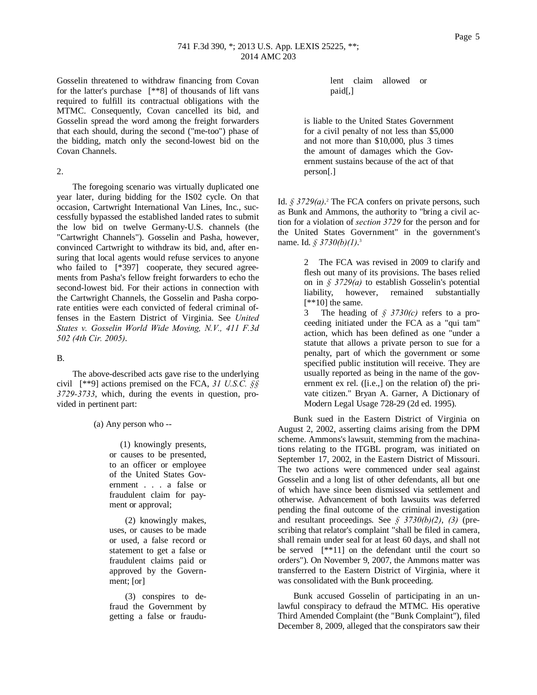Gosselin threatened to withdraw financing from Covan for the latter's purchase [\*\*8] of thousands of lift vans required to fulfill its contractual obligations with the MTMC. Consequently, Covan cancelled its bid, and Gosselin spread the word among the freight forwarders that each should, during the second ("me-too") phase of the bidding, match only the second-lowest bid on the Covan Channels.

## 2.

The foregoing scenario was virtually duplicated one year later, during bidding for the IS02 cycle. On that occasion, Cartwright International Van Lines, Inc., successfully bypassed the established landed rates to submit the low bid on twelve Germany-U.S. channels (the "Cartwright Channels"). Gosselin and Pasha, however, convinced Cartwright to withdraw its bid, and, after ensuring that local agents would refuse services to anyone who failed to [\*397] cooperate, they secured agreements from Pasha's fellow freight forwarders to echo the second-lowest bid. For their actions in connection with the Cartwright Channels, the Gosselin and Pasha corporate entities were each convicted of federal criminal offenses in the Eastern District of Virginia. See *United States v. Gosselin World Wide Moving, N.V., 411 F.3d 502 (4th Cir. 2005)*.

### B.

The above-described acts gave rise to the underlying civil [\*\*9] actions premised on the FCA, *31 U.S.C. §§ 3729-3733*, which, during the events in question, provided in pertinent part:

(a) Any person who --

 (1) knowingly presents, or causes to be presented, to an officer or employee of the United States Government . . . a false or fraudulent claim for payment or approval;

(2) knowingly makes, uses, or causes to be made or used, a false record or statement to get a false or fraudulent claims paid or approved by the Government; [or]

(3) conspires to defraud the Government by getting a false or fraudulent claim allowed or paid[,]

is liable to the United States Government for a civil penalty of not less than \$5,000 and not more than \$10,000, plus 3 times the amount of damages which the Government sustains because of the act of that person[.]

Id.  $\oint$  3729(*a*).<sup>2</sup> The FCA confers on private persons, such as Bunk and Ammons, the authority to "bring a civil action for a violation of *section 3729* for the person and for the United States Government" in the government's name. Id. *§ 3730(b)(1)*. 3

> 2 The FCA was revised in 2009 to clarify and flesh out many of its provisions. The bases relied on in *§ 3729(a)* to establish Gosselin's potential liability, however, remained substantially [\*\*10] the same.

> 3 The heading of *§ 3730(c)* refers to a proceeding initiated under the FCA as a "qui tam" action, which has been defined as one "under a statute that allows a private person to sue for a penalty, part of which the government or some specified public institution will receive. They are usually reported as being in the name of the government ex rel. ([i.e.,] on the relation of) the private citizen." Bryan A. Garner, A Dictionary of Modern Legal Usage 728-29 (2d ed. 1995).

Bunk sued in the Eastern District of Virginia on August 2, 2002, asserting claims arising from the DPM scheme. Ammons's lawsuit, stemming from the machinations relating to the ITGBL program, was initiated on September 17, 2002, in the Eastern District of Missouri. The two actions were commenced under seal against Gosselin and a long list of other defendants, all but one of which have since been dismissed via settlement and otherwise. Advancement of both lawsuits was deferred pending the final outcome of the criminal investigation and resultant proceedings. See *§ 3730(b)(2)*, *(3)* (prescribing that relator's complaint "shall be filed in camera, shall remain under seal for at least 60 days, and shall not be served [\*\*11] on the defendant until the court so orders"). On November 9, 2007, the Ammons matter was transferred to the Eastern District of Virginia, where it was consolidated with the Bunk proceeding.

Bunk accused Gosselin of participating in an unlawful conspiracy to defraud the MTMC. His operative Third Amended Complaint (the "Bunk Complaint"), filed December 8, 2009, alleged that the conspirators saw their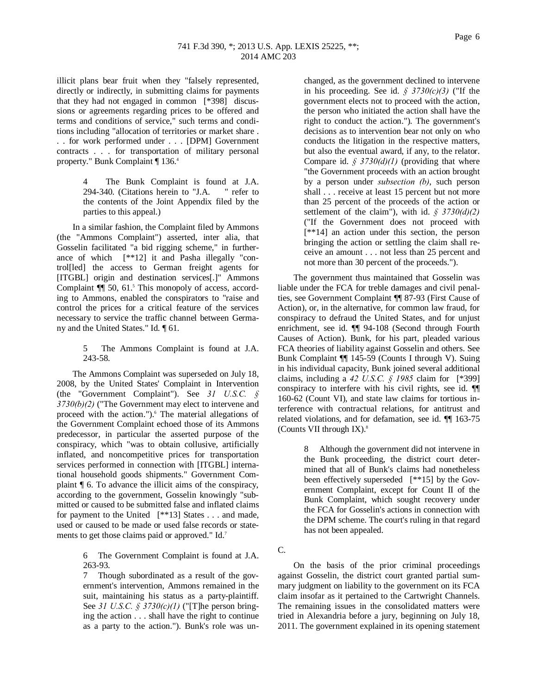illicit plans bear fruit when they "falsely represented, directly or indirectly, in submitting claims for payments that they had not engaged in common [\*398] discussions or agreements regarding prices to be offered and terms and conditions of service," such terms and conditions including "allocation of territories or market share . . . for work performed under . . . [DPM] Government contracts . . . for transportation of military personal property." Bunk Complaint ¶ 136.4

> 4 The Bunk Complaint is found at J.A. 294-340. (Citations herein to "J.A. " refer to the contents of the Joint Appendix filed by the parties to this appeal.)

In a similar fashion, the Complaint filed by Ammons (the "Ammons Complaint") asserted, inter alia, that Gosselin facilitated "a bid rigging scheme," in furtherance of which [\*\*12] it and Pasha illegally "control[led] the access to German freight agents for [ITGBL] origin and destination services[.]" Ammons Complaint  $\P$  50, 61.<sup>5</sup> This monopoly of access, according to Ammons, enabled the conspirators to "raise and control the prices for a critical feature of the services necessary to service the traffic channel between Germany and the United States." Id. ¶ 61.

> 5 The Ammons Complaint is found at J.A. 243-58.

The Ammons Complaint was superseded on July 18, 2008, by the United States' Complaint in Intervention (the "Government Complaint"). See *31 U.S.C. § 3730(b)(2)* ("The Government may elect to intervene and proceed with the action.").<sup>6</sup> The material allegations of the Government Complaint echoed those of its Ammons predecessor, in particular the asserted purpose of the conspiracy, which "was to obtain collusive, artificially inflated, and noncompetitive prices for transportation services performed in connection with [ITGBL] international household goods shipments." Government Complaint ¶ 6. To advance the illicit aims of the conspiracy, according to the government, Gosselin knowingly "submitted or caused to be submitted false and inflated claims for payment to the United [\*\*13] States . . . and made, used or caused to be made or used false records or statements to get those claims paid or approved." Id.<sup>7</sup>

> 6 The Government Complaint is found at J.A. 263-93.

> 7 Though subordinated as a result of the government's intervention, Ammons remained in the suit, maintaining his status as a party-plaintiff. See *31 U.S.C. § 3730(c)(1)* ("[T]he person bringing the action . . . shall have the right to continue as a party to the action."). Bunk's role was un

changed, as the government declined to intervene in his proceeding. See id. *§ 3730(c)(3)* ("If the government elects not to proceed with the action, the person who initiated the action shall have the right to conduct the action."). The government's decisions as to intervention bear not only on who conducts the litigation in the respective matters, but also the eventual award, if any, to the relator. Compare id. *§ 3730(d)(1)* (providing that where "the Government proceeds with an action brought by a person under *subsection (b)*, such person shall . . . receive at least 15 percent but not more than 25 percent of the proceeds of the action or settlement of the claim"), with id. *§ 3730(d)(2)* ("If the Government does not proceed with [\*\*14] an action under this section, the person bringing the action or settling the claim shall receive an amount . . . not less than 25 percent and not more than 30 percent of the proceeds.").

The government thus maintained that Gosselin was liable under the FCA for treble damages and civil penalties, see Government Complaint ¶¶ 87-93 (First Cause of Action), or, in the alternative, for common law fraud, for conspiracy to defraud the United States, and for unjust enrichment, see id. ¶¶ 94-108 (Second through Fourth Causes of Action). Bunk, for his part, pleaded various FCA theories of liability against Gosselin and others. See Bunk Complaint ¶¶ 145-59 (Counts I through V). Suing in his individual capacity, Bunk joined several additional claims, including a *42 U.S.C. § 1985* claim for [\*399] conspiracy to interfere with his civil rights, see id. ¶¶ 160-62 (Count VI), and state law claims for tortious interference with contractual relations, for antitrust and related violations, and for defamation, see id. ¶¶ 163-75 (Counts VII through IX). $8$ 

> 8 Although the government did not intervene in the Bunk proceeding, the district court determined that all of Bunk's claims had nonetheless been effectively superseded [\*\*15] by the Government Complaint, except for Count II of the Bunk Complaint, which sought recovery under the FCA for Gosselin's actions in connection with the DPM scheme. The court's ruling in that regard has not been appealed.

C.

On the basis of the prior criminal proceedings against Gosselin, the district court granted partial summary judgment on liability to the government on its FCA claim insofar as it pertained to the Cartwright Channels. The remaining issues in the consolidated matters were tried in Alexandria before a jury, beginning on July 18, 2011. The government explained in its opening statement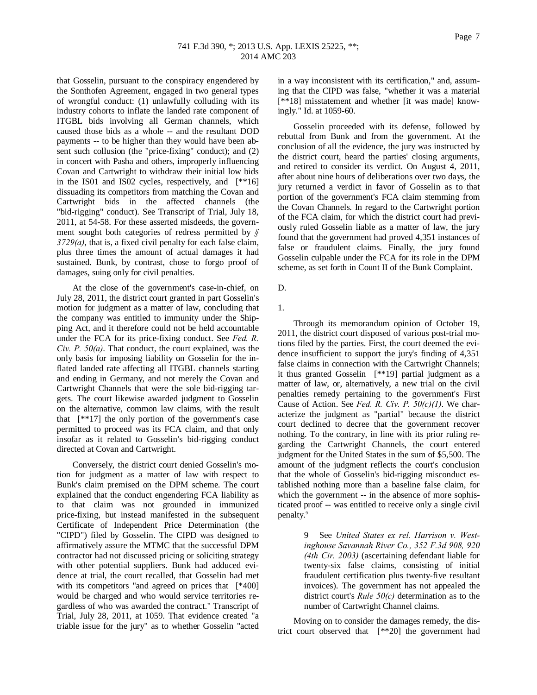Page 7

that Gosselin, pursuant to the conspiracy engendered by the Sonthofen Agreement, engaged in two general types of wrongful conduct: (1) unlawfully colluding with its industry cohorts to inflate the landed rate component of ITGBL bids involving all German channels, which caused those bids as a whole -- and the resultant DOD payments -- to be higher than they would have been absent such collusion (the "price-fixing" conduct); and (2) in concert with Pasha and others, improperly influencing Covan and Cartwright to withdraw their initial low bids in the IS01 and IS02 cycles, respectively, and [\*\*16] dissuading its competitors from matching the Covan and Cartwright bids in the affected channels (the "bid-rigging" conduct). See Transcript of Trial, July 18, 2011, at 54-58. For these asserted misdeeds, the government sought both categories of redress permitted by *§ 3729(a)*, that is, a fixed civil penalty for each false claim, plus three times the amount of actual damages it had sustained. Bunk, by contrast, chose to forgo proof of damages, suing only for civil penalties.

At the close of the government's case-in-chief, on July 28, 2011, the district court granted in part Gosselin's motion for judgment as a matter of law, concluding that the company was entitled to immunity under the Shipping Act, and it therefore could not be held accountable under the FCA for its price-fixing conduct. See *Fed. R. Civ. P. 50(a)*. That conduct, the court explained, was the only basis for imposing liability on Gosselin for the inflated landed rate affecting all ITGBL channels starting and ending in Germany, and not merely the Covan and Cartwright Channels that were the sole bid-rigging targets. The court likewise awarded judgment to Gosselin on the alternative, common law claims, with the result that [\*\*17] the only portion of the government's case permitted to proceed was its FCA claim, and that only insofar as it related to Gosselin's bid-rigging conduct directed at Covan and Cartwright.

Conversely, the district court denied Gosselin's motion for judgment as a matter of law with respect to Bunk's claim premised on the DPM scheme. The court explained that the conduct engendering FCA liability as to that claim was not grounded in immunized price-fixing, but instead manifested in the subsequent Certificate of Independent Price Determination (the "CIPD") filed by Gosselin. The CIPD was designed to affirmatively assure the MTMC that the successful DPM contractor had not discussed pricing or soliciting strategy with other potential suppliers. Bunk had adduced evidence at trial, the court recalled, that Gosselin had met with its competitors "and agreed on prices that [\*400] would be charged and who would service territories regardless of who was awarded the contract." Transcript of Trial, July 28, 2011, at 1059. That evidence created "a triable issue for the jury" as to whether Gosselin "acted

in a way inconsistent with its certification," and, assuming that the CIPD was false, "whether it was a material [\*\*18] misstatement and whether [it was made] knowingly." Id. at 1059-60.

Gosselin proceeded with its defense, followed by rebuttal from Bunk and from the government. At the conclusion of all the evidence, the jury was instructed by the district court, heard the parties' closing arguments, and retired to consider its verdict. On August 4, 2011, after about nine hours of deliberations over two days, the jury returned a verdict in favor of Gosselin as to that portion of the government's FCA claim stemming from the Covan Channels. In regard to the Cartwright portion of the FCA claim, for which the district court had previously ruled Gosselin liable as a matter of law, the jury found that the government had proved 4,351 instances of false or fraudulent claims. Finally, the jury found Gosselin culpable under the FCA for its role in the DPM scheme, as set forth in Count II of the Bunk Complaint.

## D.

1.

Through its memorandum opinion of October 19, 2011, the district court disposed of various post-trial motions filed by the parties. First, the court deemed the evidence insufficient to support the jury's finding of 4,351 false claims in connection with the Cartwright Channels; it thus granted Gosselin [\*\*19] partial judgment as a matter of law, or, alternatively, a new trial on the civil penalties remedy pertaining to the government's First Cause of Action. See *Fed. R. Civ. P. 50(c)(1)*. We characterize the judgment as "partial" because the district court declined to decree that the government recover nothing. To the contrary, in line with its prior ruling regarding the Cartwright Channels, the court entered judgment for the United States in the sum of \$5,500. The amount of the judgment reflects the court's conclusion that the whole of Gosselin's bid-rigging misconduct established nothing more than a baseline false claim, for which the government -- in the absence of more sophisticated proof -- was entitled to receive only a single civil penalty.<sup>9</sup>

> See *United States ex rel. Harrison v. Westinghouse Savannah River Co., 352 F.3d 908, 920 (4th Cir. 2003)* (ascertaining defendant liable for twenty-six false claims, consisting of initial fraudulent certification plus twenty-five resultant invoices). The government has not appealed the district court's *Rule 50(c)* determination as to the number of Cartwright Channel claims.

Moving on to consider the damages remedy, the district court observed that [\*\*20] the government had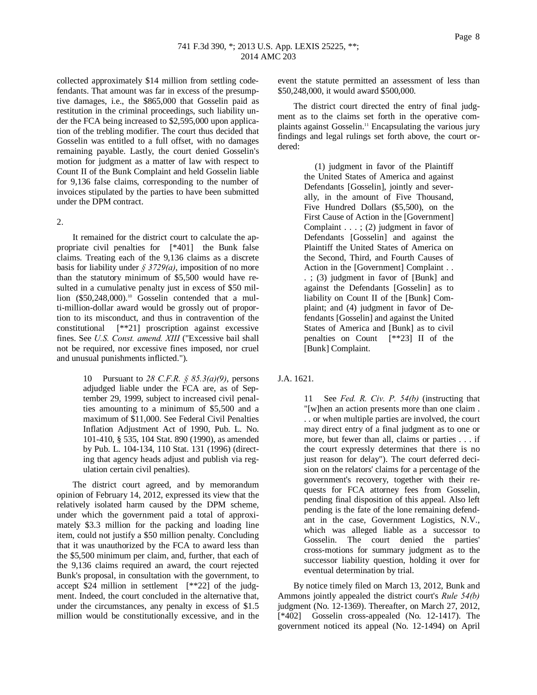collected approximately \$14 million from settling codefendants. That amount was far in excess of the presumptive damages, i.e., the \$865,000 that Gosselin paid as restitution in the criminal proceedings, such liability under the FCA being increased to \$2,595,000 upon application of the trebling modifier. The court thus decided that Gosselin was entitled to a full offset, with no damages remaining payable. Lastly, the court denied Gosselin's motion for judgment as a matter of law with respect to Count II of the Bunk Complaint and held Gosselin liable for 9,136 false claims, corresponding to the number of invoices stipulated by the parties to have been submitted under the DPM contract.

## 2.

It remained for the district court to calculate the appropriate civil penalties for [\*401] the Bunk false claims. Treating each of the 9,136 claims as a discrete basis for liability under  $\frac{2}{3}$  3729(*a*), imposition of no more than the statutory minimum of \$5,500 would have resulted in a cumulative penalty just in excess of \$50 million (\$50,248,000).<sup>10</sup> Gosselin contended that a multi-million-dollar award would be grossly out of proportion to its misconduct, and thus in contravention of the constitutional [\*\*21] proscription against excessive fines. See *U.S. Const. amend. XIII* ("Excessive bail shall not be required, nor excessive fines imposed, nor cruel and unusual punishments inflicted.").

> 10 Pursuant to *28 C.F.R. § 85.3(a)(9)*, persons adjudged liable under the FCA are, as of September 29, 1999, subject to increased civil penalties amounting to a minimum of \$5,500 and a maximum of \$11,000. See Federal Civil Penalties Inflation Adjustment Act of 1990, Pub. L. No. 101-410, § 535, 104 Stat. 890 (1990), as amended by Pub. L. 104-134, 110 Stat. 131 (1996) (directing that agency heads adjust and publish via regulation certain civil penalties).

The district court agreed, and by memorandum opinion of February 14, 2012, expressed its view that the relatively isolated harm caused by the DPM scheme, under which the government paid a total of approximately \$3.3 million for the packing and loading line item, could not justify a \$50 million penalty. Concluding that it was unauthorized by the FCA to award less than the \$5,500 minimum per claim, and, further, that each of the 9,136 claims required an award, the court rejected Bunk's proposal, in consultation with the government, to accept \$24 million in settlement [\*\*22] of the judgment. Indeed, the court concluded in the alternative that, under the circumstances, any penalty in excess of \$1.5 million would be constitutionally excessive, and in the

event the statute permitted an assessment of less than \$50,248,000, it would award \$500,000.

The district court directed the entry of final judgment as to the claims set forth in the operative complaints against Gosselin.11 Encapsulating the various jury findings and legal rulings set forth above, the court ordered:

> (1) judgment in favor of the Plaintiff the United States of America and against Defendants [Gosselin], jointly and severally, in the amount of Five Thousand, Five Hundred Dollars (\$5,500), on the First Cause of Action in the [Government] Complaint . . . ; (2) judgment in favor of Defendants [Gosselin] and against the Plaintiff the United States of America on the Second, Third, and Fourth Causes of Action in the [Government] Complaint . . . ; (3) judgment in favor of [Bunk] and against the Defendants [Gosselin] as to liability on Count II of the [Bunk] Complaint; and (4) judgment in favor of Defendants [Gosselin] and against the United States of America and [Bunk] as to civil penalties on Count [\*\*23] II of the [Bunk] Complaint.

# J.A. 1621.

11 See *Fed. R. Civ. P. 54(b)* (instructing that "[w]hen an action presents more than one claim . . . or when multiple parties are involved, the court may direct entry of a final judgment as to one or more, but fewer than all, claims or parties . . . if the court expressly determines that there is no just reason for delay"). The court deferred decision on the relators' claims for a percentage of the government's recovery, together with their requests for FCA attorney fees from Gosselin, pending final disposition of this appeal. Also left pending is the fate of the lone remaining defendant in the case, Government Logistics, N.V., which was alleged liable as a successor to Gosselin. The court denied the parties' cross-motions for summary judgment as to the successor liability question, holding it over for eventual determination by trial.

By notice timely filed on March 13, 2012, Bunk and Ammons jointly appealed the district court's *Rule 54(b)* judgment (No. 12-1369). Thereafter, on March 27, 2012, [\*402] Gosselin cross-appealed (No. 12-1417). The government noticed its appeal (No. 12-1494) on April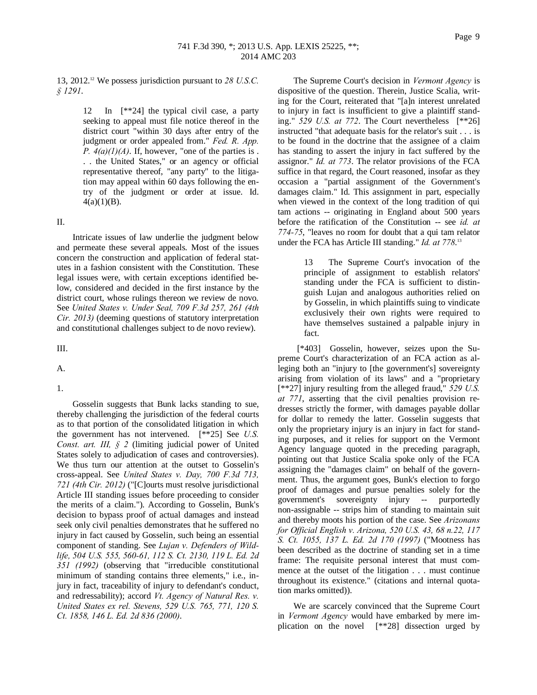13, 2012.12 We possess jurisdiction pursuant to *28 U.S.C. § 1291*.

> 12 In [\*\*24] the typical civil case, a party seeking to appeal must file notice thereof in the district court "within 30 days after entry of the judgment or order appealed from." *Fed. R. App. P.*  $4(a)(1)(A)$ . If, however, "one of the parties is. . . the United States," or an agency or official representative thereof, "any party" to the litigation may appeal within 60 days following the entry of the judgment or order at issue. Id.  $4(a)(1)(B)$ .

#### II.

Intricate issues of law underlie the judgment below and permeate these several appeals. Most of the issues concern the construction and application of federal statutes in a fashion consistent with the Constitution. These legal issues were, with certain exceptions identified below, considered and decided in the first instance by the district court, whose rulings thereon we review de novo. See *United States v. Under Seal, 709 F.3d 257, 261 (4th Cir. 2013)* (deeming questions of statutory interpretation and constitutional challenges subject to de novo review).

III.

A.

1.

Gosselin suggests that Bunk lacks standing to sue, thereby challenging the jurisdiction of the federal courts as to that portion of the consolidated litigation in which the government has not intervened. [\*\*25] See *U.S. Const. art. III, § 2* (limiting judicial power of United States solely to adjudication of cases and controversies). We thus turn our attention at the outset to Gosselin's cross-appeal. See *United States v. Day, 700 F.3d 713, 721 (4th Cir. 2012)* ("[C]ourts must resolve jurisdictional Article III standing issues before proceeding to consider the merits of a claim."). According to Gosselin, Bunk's decision to bypass proof of actual damages and instead seek only civil penalties demonstrates that he suffered no injury in fact caused by Gosselin, such being an essential component of standing. See *Lujan v. Defenders of Wildlife, 504 U.S. 555, 560-61, 112 S. Ct. 2130, 119 L. Ed. 2d 351 (1992)* (observing that "irreducible constitutional minimum of standing contains three elements," i.e., injury in fact, traceability of injury to defendant's conduct, and redressability); accord *Vt. Agency of Natural Res. v. United States ex rel. Stevens, 529 U.S. 765, 771, 120 S. Ct. 1858, 146 L. Ed. 2d 836 (2000)*.

The Supreme Court's decision in *Vermont Agency* is dispositive of the question. Therein, Justice Scalia, writing for the Court, reiterated that "[a]n interest unrelated to injury in fact is insufficient to give a plaintiff standing." *529 U.S. at 772*. The Court nevertheless [\*\*26] instructed "that adequate basis for the relator's suit . . . is to be found in the doctrine that the assignee of a claim has standing to assert the injury in fact suffered by the assignor." *Id. at 773*. The relator provisions of the FCA suffice in that regard, the Court reasoned, insofar as they occasion a "partial assignment of the Government's damages claim." Id. This assignment in part, especially when viewed in the context of the long tradition of qui tam actions -- originating in England about 500 years before the ratification of the Constitution -- see *id. at 774-75*, "leaves no room for doubt that a qui tam relator under the FCA has Article III standing." *Id. at 778*. 13

> 13 The Supreme Court's invocation of the principle of assignment to establish relators' standing under the FCA is sufficient to distinguish Lujan and analogous authorities relied on by Gosselin, in which plaintiffs suing to vindicate exclusively their own rights were required to have themselves sustained a palpable injury in fact.

[\*403] Gosselin, however, seizes upon the Supreme Court's characterization of an FCA action as alleging both an "injury to [the government's] sovereignty arising from violation of its laws" and a "proprietary [\*\*27] injury resulting from the alleged fraud," *529 U.S. at 771*, asserting that the civil penalties provision redresses strictly the former, with damages payable dollar for dollar to remedy the latter. Gosselin suggests that only the proprietary injury is an injury in fact for standing purposes, and it relies for support on the Vermont Agency language quoted in the preceding paragraph, pointing out that Justice Scalia spoke only of the FCA assigning the "damages claim" on behalf of the government. Thus, the argument goes, Bunk's election to forgo proof of damages and pursue penalties solely for the government's sovereignty injury -- purportedly non-assignable -- strips him of standing to maintain suit and thereby moots his portion of the case. See *Arizonans for Official English v. Arizona, 520 U.S. 43, 68 n.22, 117 S. Ct. 1055, 137 L. Ed. 2d 170 (1997)* ("Mootness has been described as the doctrine of standing set in a time frame: The requisite personal interest that must commence at the outset of the litigation . . . must continue throughout its existence." (citations and internal quotation marks omitted)).

We are scarcely convinced that the Supreme Court in *Vermont Agency* would have embarked by mere implication on the novel [\*\*28] dissection urged by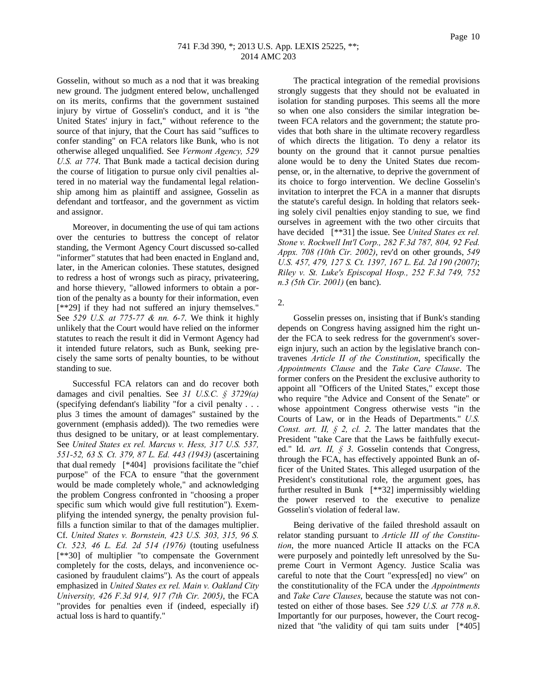Gosselin, without so much as a nod that it was breaking new ground. The judgment entered below, unchallenged on its merits, confirms that the government sustained injury by virtue of Gosselin's conduct, and it is "the United States' injury in fact," without reference to the source of that injury, that the Court has said "suffices to confer standing" on FCA relators like Bunk, who is not otherwise alleged unqualified. See *Vermont Agency, 529 U.S. at 774*. That Bunk made a tactical decision during the course of litigation to pursue only civil penalties altered in no material way the fundamental legal relationship among him as plaintiff and assignee, Gosselin as defendant and tortfeasor, and the government as victim and assignor.

Moreover, in documenting the use of qui tam actions over the centuries to buttress the concept of relator standing, the Vermont Agency Court discussed so-called "informer" statutes that had been enacted in England and, later, in the American colonies. These statutes, designed to redress a host of wrongs such as piracy, privateering, and horse thievery, "allowed informers to obtain a portion of the penalty as a bounty for their information, even [\*\*29] if they had not suffered an injury themselves." See *529 U.S. at 775-77 & nn. 6-7*. We think it highly unlikely that the Court would have relied on the informer statutes to reach the result it did in Vermont Agency had it intended future relators, such as Bunk, seeking precisely the same sorts of penalty bounties, to be without standing to sue.

Successful FCA relators can and do recover both damages and civil penalties. See *31 U.S.C. § 3729(a)* (specifying defendant's liability "for a civil penalty . . . plus 3 times the amount of damages" sustained by the government (emphasis added)). The two remedies were thus designed to be unitary, or at least complementary. See *United States ex rel. Marcus v. Hess, 317 U.S. 537, 551-52, 63 S. Ct. 379, 87 L. Ed. 443 (1943)* (ascertaining that dual remedy [\*404] provisions facilitate the "chief purpose" of the FCA to ensure "that the government would be made completely whole," and acknowledging the problem Congress confronted in "choosing a proper specific sum which would give full restitution"). Exemplifying the intended synergy, the penalty provision fulfills a function similar to that of the damages multiplier. Cf. *United States v. Bornstein, 423 U.S. 303, 315, 96 S. Ct. 523, 46 L. Ed. 2d 514 (1976)* (touting usefulness [\*\*30] of multiplier "to compensate the Government completely for the costs, delays, and inconvenience occasioned by fraudulent claims"). As the court of appeals emphasized in *United States ex rel. Main v. Oakland City University, 426 F.3d 914, 917 (7th Cir. 2005)*, the FCA "provides for penalties even if (indeed, especially if) actual loss is hard to quantify."

The practical integration of the remedial provisions strongly suggests that they should not be evaluated in isolation for standing purposes. This seems all the more so when one also considers the similar integration between FCA relators and the government; the statute provides that both share in the ultimate recovery regardless of which directs the litigation. To deny a relator its bounty on the ground that it cannot pursue penalties alone would be to deny the United States due recompense, or, in the alternative, to deprive the government of its choice to forgo intervention. We decline Gosselin's invitation to interpret the FCA in a manner that disrupts the statute's careful design. In holding that relators seeking solely civil penalties enjoy standing to sue, we find ourselves in agreement with the two other circuits that have decided [\*\*31] the issue. See *United States ex rel. Stone v. Rockwell Int'l Corp., 282 F.3d 787, 804, 92 Fed. Appx. 708 (10th Cir. 2002)*, rev'd on other grounds, *549 U.S. 457, 479, 127 S. Ct. 1397, 167 L. Ed. 2d 190 (2007)*; *Riley v. St. Luke's Episcopal Hosp., 252 F.3d 749, 752 n.3 (5th Cir. 2001)* (en banc).

2.

Gosselin presses on, insisting that if Bunk's standing depends on Congress having assigned him the right under the FCA to seek redress for the government's sovereign injury, such an action by the legislative branch contravenes *Article II of the Constitution*, specifically the *Appointments Clause* and the *Take Care Clause*. The former confers on the President the exclusive authority to appoint all "Officers of the United States," except those who require "the Advice and Consent of the Senate" or whose appointment Congress otherwise vests "in the Courts of Law, or in the Heads of Departments." *U.S. Const. art. II, § 2, cl. 2*. The latter mandates that the President "take Care that the Laws be faithfully executed." Id. *art. II, § 3*. Gosselin contends that Congress, through the FCA, has effectively appointed Bunk an officer of the United States. This alleged usurpation of the President's constitutional role, the argument goes, has further resulted in Bunk [\*\*32] impermissibly wielding the power reserved to the executive to penalize Gosselin's violation of federal law.

Being derivative of the failed threshold assault on relator standing pursuant to *Article III of the Constitution*, the more nuanced Article II attacks on the FCA were purposely and pointedly left unresolved by the Supreme Court in Vermont Agency. Justice Scalia was careful to note that the Court "express[ed] no view" on the constitutionality of the FCA under the *Appointments* and *Take Care Clauses*, because the statute was not contested on either of those bases. See *529 U.S. at 778 n.8*. Importantly for our purposes, however, the Court recognized that "the validity of qui tam suits under [\*405]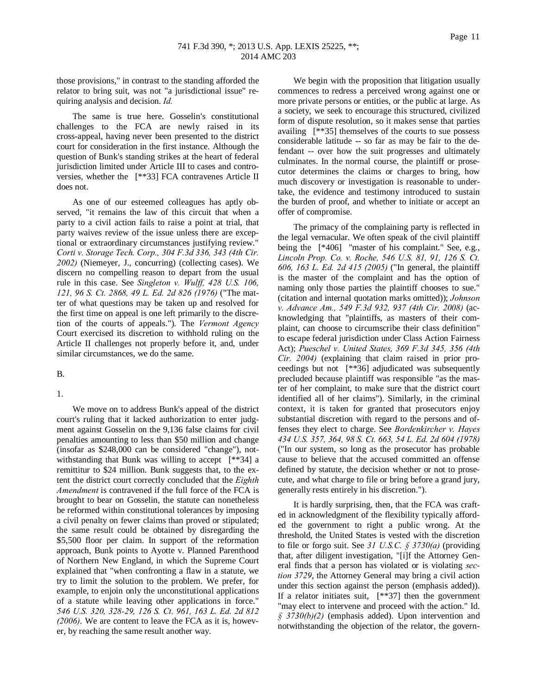those provisions," in contrast to the standing afforded the relator to bring suit, was not "a jurisdictional issue" requiring analysis and decision. *Id.*

The same is true here. Gosselin's constitutional challenges to the FCA are newly raised in its cross-appeal, having never been presented to the district court for consideration in the first instance. Although the question of Bunk's standing strikes at the heart of federal jurisdiction limited under Article III to cases and controversies, whether the [\*\*33] FCA contravenes Article II does not.

As one of our esteemed colleagues has aptly observed, "it remains the law of this circuit that when a party to a civil action fails to raise a point at trial, that party waives review of the issue unless there are exceptional or extraordinary circumstances justifying review." *Corti v. Storage Tech. Corp., 304 F.3d 336, 343 (4th Cir. 2002)* (Niemeyer, J., concurring) (collecting cases). We discern no compelling reason to depart from the usual rule in this case. See *Singleton v. Wulff, 428 U.S. 106, 121, 96 S. Ct. 2868, 49 L. Ed. 2d 826 (1976)* ("The matter of what questions may be taken up and resolved for the first time on appeal is one left primarily to the discretion of the courts of appeals."). The *Vermont Agency* Court exercised its discretion to withhold ruling on the Article II challenges not properly before it, and, under similar circumstances, we do the same.

#### B.

# 1.

We move on to address Bunk's appeal of the district court's ruling that it lacked authorization to enter judgment against Gosselin on the 9,136 false claims for civil penalties amounting to less than \$50 million and change (insofar as \$248,000 can be considered "change"), notwithstanding that Bunk was willing to accept [\*\*34] a remittitur to \$24 million. Bunk suggests that, to the extent the district court correctly concluded that the *Eighth Amendment* is contravened if the full force of the FCA is brought to bear on Gosselin, the statute can nonetheless be reformed within constitutional tolerances by imposing a civil penalty on fewer claims than proved or stipulated; the same result could be obtained by disregarding the \$5,500 floor per claim. In support of the reformation approach, Bunk points to Ayotte v. Planned Parenthood of Northern New England, in which the Supreme Court explained that "when confronting a flaw in a statute, we try to limit the solution to the problem. We prefer, for example, to enjoin only the unconstitutional applications of a statute while leaving other applications in force." *546 U.S. 320, 328-29, 126 S. Ct. 961, 163 L. Ed. 2d 812 (2006)*. We are content to leave the FCA as it is, however, by reaching the same result another way.

We begin with the proposition that litigation usually commences to redress a perceived wrong against one or more private persons or entities, or the public at large. As a society, we seek to encourage this structured, civilized form of dispute resolution, so it makes sense that parties availing [\*\*35] themselves of the courts to sue possess considerable latitude -- so far as may be fair to the defendant -- over how the suit progresses and ultimately culminates. In the normal course, the plaintiff or prosecutor determines the claims or charges to bring, how much discovery or investigation is reasonable to undertake, the evidence and testimony introduced to sustain the burden of proof, and whether to initiate or accept an offer of compromise.

The primacy of the complaining party is reflected in the legal vernacular. We often speak of the civil plaintiff being the [\*406] "master of his complaint." See, e.g., *Lincoln Prop. Co. v. Roche, 546 U.S. 81, 91, 126 S. Ct. 606, 163 L. Ed. 2d 415 (2005)* ("In general, the plaintiff is the master of the complaint and has the option of naming only those parties the plaintiff chooses to sue." (citation and internal quotation marks omitted)); *Johnson v. Advance Am., 549 F.3d 932, 937 (4th Cir. 2008)* (acknowledging that "plaintiffs, as masters of their complaint, can choose to circumscribe their class definition" to escape federal jurisdiction under Class Action Fairness Act); *Pueschel v. United States, 369 F.3d 345, 356 (4th Cir. 2004)* (explaining that claim raised in prior proceedings but not [\*\*36] adjudicated was subsequently precluded because plaintiff was responsible "as the master of her complaint, to make sure that the district court identified all of her claims"). Similarly, in the criminal context, it is taken for granted that prosecutors enjoy substantial discretion with regard to the persons and offenses they elect to charge. See *Bordenkircher v. Hayes 434 U.S. 357, 364, 98 S. Ct. 663, 54 L. Ed. 2d 604 (1978)* ("In our system, so long as the prosecutor has probable cause to believe that the accused committed an offense defined by statute, the decision whether or not to prosecute, and what charge to file or bring before a grand jury, generally rests entirely in his discretion.").

It is hardly surprising, then, that the FCA was crafted in acknowledgment of the flexibility typically afforded the government to right a public wrong. At the threshold, the United States is vested with the discretion to file or forgo suit. See *31 U.S.C. § 3730(a)* (providing that, after diligent investigation, "[i]f the Attorney General finds that a person has violated or is violating *section 3729*, the Attorney General may bring a civil action under this section against the person (emphasis added)). If a relator initiates suit, [\*\*37] then the government "may elect to intervene and proceed with the action." Id. *§ 3730(b)(2)* (emphasis added). Upon intervention and notwithstanding the objection of the relator, the govern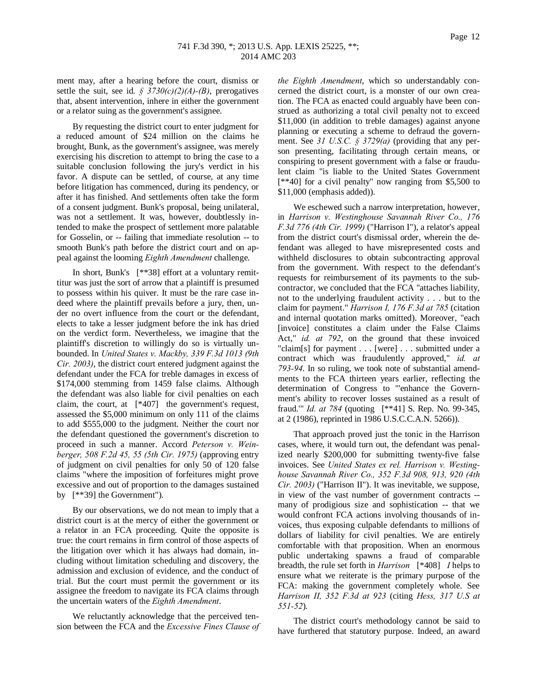ment may, after a hearing before the court, dismiss or settle the suit, see id.  $\frac{2}{3}$  3730(c)(2)(A)-(B), prerogatives that, absent intervention, inhere in either the government or a relator suing as the government's assignee.

By requesting the district court to enter judgment for a reduced amount of \$24 million on the claims he brought, Bunk, as the government's assignee, was merely exercising his discretion to attempt to bring the case to a suitable conclusion following the jury's verdict in his favor. A dispute can be settled, of course, at any time before litigation has commenced, during its pendency, or after it has finished. And settlements often take the form of a consent judgment. Bunk's proposal, being unilateral, was not a settlement. It was, however, doubtlessly intended to make the prospect of settlement more palatable for Gosselin, or -- failing that immediate resolution -- to smooth Bunk's path before the district court and on appeal against the looming *Eighth Amendment* challenge.

In short, Bunk's [\*\*38] effort at a voluntary remittitur was just the sort of arrow that a plaintiff is presumed to possess within his quiver. It must be the rare case indeed where the plaintiff prevails before a jury, then, under no overt influence from the court or the defendant, elects to take a lesser judgment before the ink has dried on the verdict form. Nevertheless, we imagine that the plaintiff's discretion to willingly do so is virtually unbounded. In *United States v. Mackby, 339 F.3d 1013 (9th Cir. 2003)*, the district court entered judgment against the defendant under the FCA for treble damages in excess of \$174,000 stemming from 1459 false claims. Although the defendant was also liable for civil penalties on each claim, the court, at [\*407] the government's request, assessed the \$5,000 minimum on only 111 of the claims to add \$555,000 to the judgment. Neither the court nor the defendant questioned the government's discretion to proceed in such a manner. Accord *Peterson v. Weinberger, 508 F.2d 45, 55 (5th Cir. 1975)* (approving entry of judgment on civil penalties for only 50 of 120 false claims "where the imposition of forfeitures might prove excessive and out of proportion to the damages sustained by [\*\*39] the Government").

By our observations, we do not mean to imply that a district court is at the mercy of either the government or a relator in an FCA proceeding. Quite the opposite is true: the court remains in firm control of those aspects of the litigation over which it has always had domain, including without limitation scheduling and discovery, the admission and exclusion of evidence, and the conduct of trial. But the court must permit the government or its assignee the freedom to navigate its FCA claims through the uncertain waters of the *Eighth Amendment*.

We reluctantly acknowledge that the perceived tension between the FCA and the *Excessive Fines Clause of*  *the Eighth Amendment*, which so understandably concerned the district court, is a monster of our own creation. The FCA as enacted could arguably have been construed as authorizing a total civil penalty not to exceed \$11,000 (in addition to treble damages) against anyone planning or executing a scheme to defraud the government. See *31 U.S.C. § 3729(a)* (providing that any person presenting, facilitating through certain means, or conspiring to present government with a false or fraudulent claim "is liable to the United States Government [\*\*40] for a civil penalty" now ranging from \$5,500 to \$11,000 (emphasis added)).

We eschewed such a narrow interpretation, however, in *Harrison v. Westinghouse Savannah River Co., 176 F.3d 776 (4th Cir. 1999)* ("Harrison I"), a relator's appeal from the district court's dismissal order, wherein the defendant was alleged to have misrepresented costs and withheld disclosures to obtain subcontracting approval from the government. With respect to the defendant's requests for reimbursement of its payments to the subcontractor, we concluded that the FCA "attaches liability, not to the underlying fraudulent activity . . . but to the claim for payment." *Harrison I, 176 F.3d at 785* (citation and internal quotation marks omitted). Moreover, "each [invoice] constitutes a claim under the False Claims Act," *id. at 792*, on the ground that these invoiced "claim[s] for payment . . . [were] . . . submitted under a contract which was fraudulently approved," *id. at 793-94*. In so ruling, we took note of substantial amendments to the FCA thirteen years earlier, reflecting the determination of Congress to "'enhance the Government's ability to recover losses sustained as a result of fraud.'" *Id. at 784* (quoting [\*\*41] S. Rep. No. 99-345, at 2 (1986), reprinted in 1986 U.S.C.C.A.N. 5266)).

That approach proved just the tonic in the Harrison cases, where, it would turn out, the defendant was penalized nearly \$200,000 for submitting twenty-five false invoices. See *United States ex rel. Harrison v. Westinghouse Savannah River Co., 352 F.3d 908, 913, 920 (4th Cir. 2003)* ("Harrison II"). It was inevitable, we suppose, in view of the vast number of government contracts - many of prodigious size and sophistication -- that we would confront FCA actions involving thousands of invoices, thus exposing culpable defendants to millions of dollars of liability for civil penalties. We are entirely comfortable with that proposition. When an enormous public undertaking spawns a fraud of comparable breadth, the rule set forth in *Harrison* [\*408] *I* helps to ensure what we reiterate is the primary purpose of the FCA: making the government completely whole. See *Harrison II, 352 F.3d at 923* (citing *Hess, 317 U.S at 551-52*).

The district court's methodology cannot be said to have furthered that statutory purpose. Indeed, an award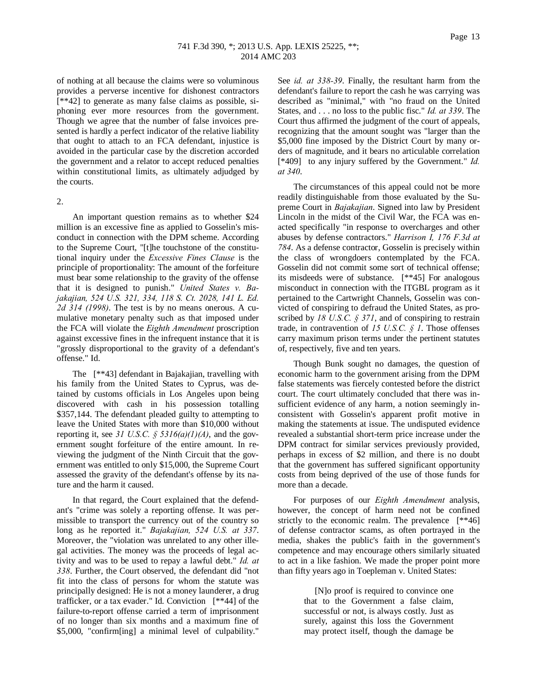of nothing at all because the claims were so voluminous provides a perverse incentive for dishonest contractors [\*\*42] to generate as many false claims as possible, siphoning ever more resources from the government. Though we agree that the number of false invoices presented is hardly a perfect indicator of the relative liability that ought to attach to an FCA defendant, injustice is avoided in the particular case by the discretion accorded the government and a relator to accept reduced penalties within constitutional limits, as ultimately adjudged by the courts.

#### 2.

An important question remains as to whether \$24 million is an excessive fine as applied to Gosselin's misconduct in connection with the DPM scheme. According to the Supreme Court, "[t]he touchstone of the constitutional inquiry under the *Excessive Fines Clause* is the principle of proportionality: The amount of the forfeiture must bear some relationship to the gravity of the offense that it is designed to punish." *United States v. Bajakajian, 524 U.S. 321, 334, 118 S. Ct. 2028, 141 L. Ed. 2d 314 (1998)*. The test is by no means onerous. A cumulative monetary penalty such as that imposed under the FCA will violate the *Eighth Amendment* proscription against excessive fines in the infrequent instance that it is "grossly disproportional to the gravity of a defendant's offense." Id.

The [\*\*43] defendant in Bajakajian, travelling with his family from the United States to Cyprus, was detained by customs officials in Los Angeles upon being discovered with cash in his possession totalling \$357,144. The defendant pleaded guilty to attempting to leave the United States with more than \$10,000 without reporting it, see 31 U.S.C.  $\S$  5316(a)(1)(A), and the government sought forfeiture of the entire amount. In reviewing the judgment of the Ninth Circuit that the government was entitled to only \$15,000, the Supreme Court assessed the gravity of the defendant's offense by its nature and the harm it caused.

In that regard, the Court explained that the defendant's "crime was solely a reporting offense. It was permissible to transport the currency out of the country so long as he reported it." *Bajakajian, 524 U.S. at 337*. Moreover, the "violation was unrelated to any other illegal activities. The money was the proceeds of legal activity and was to be used to repay a lawful debt." *Id. at 338*. Further, the Court observed, the defendant did "not fit into the class of persons for whom the statute was principally designed: He is not a money launderer, a drug trafficker, or a tax evader." Id. Conviction [\*\*44] of the failure-to-report offense carried a term of imprisonment of no longer than six months and a maximum fine of \$5,000, "confirm[ing] a minimal level of culpability."

See *id. at 338-39*. Finally, the resultant harm from the defendant's failure to report the cash he was carrying was described as "minimal," with "no fraud on the United States, and . . . no loss to the public fisc." *Id. at 339*. The Court thus affirmed the judgment of the court of appeals, recognizing that the amount sought was "larger than the \$5,000 fine imposed by the District Court by many orders of magnitude, and it bears no articulable correlation [\*409] to any injury suffered by the Government." *Id. at 340*.

The circumstances of this appeal could not be more readily distinguishable from those evaluated by the Supreme Court in *Bajakajian*. Signed into law by President Lincoln in the midst of the Civil War, the FCA was enacted specifically "in response to overcharges and other abuses by defense contractors." *Harrison I, 176 F.3d at 784*. As a defense contractor, Gosselin is precisely within the class of wrongdoers contemplated by the FCA. Gosselin did not commit some sort of technical offense; its misdeeds were of substance. [\*\*45] For analogous misconduct in connection with the ITGBL program as it pertained to the Cartwright Channels, Gosselin was convicted of conspiring to defraud the United States, as proscribed by *18 U.S.C. § 371*, and of conspiring to restrain trade, in contravention of *15 U.S.C. § 1*. Those offenses carry maximum prison terms under the pertinent statutes of, respectively, five and ten years.

Though Bunk sought no damages, the question of economic harm to the government arising from the DPM false statements was fiercely contested before the district court. The court ultimately concluded that there was insufficient evidence of any harm, a notion seemingly inconsistent with Gosselin's apparent profit motive in making the statements at issue. The undisputed evidence revealed a substantial short-term price increase under the DPM contract for similar services previously provided, perhaps in excess of \$2 million, and there is no doubt that the government has suffered significant opportunity costs from being deprived of the use of those funds for more than a decade.

For purposes of our *Eighth Amendment* analysis, however, the concept of harm need not be confined strictly to the economic realm. The prevalence [\*\*46] of defense contractor scams, as often portrayed in the media, shakes the public's faith in the government's competence and may encourage others similarly situated to act in a like fashion. We made the proper point more than fifty years ago in Toepleman v. United States:

> [N]o proof is required to convince one that to the Government a false claim, successful or not, is always costly. Just as surely, against this loss the Government may protect itself, though the damage be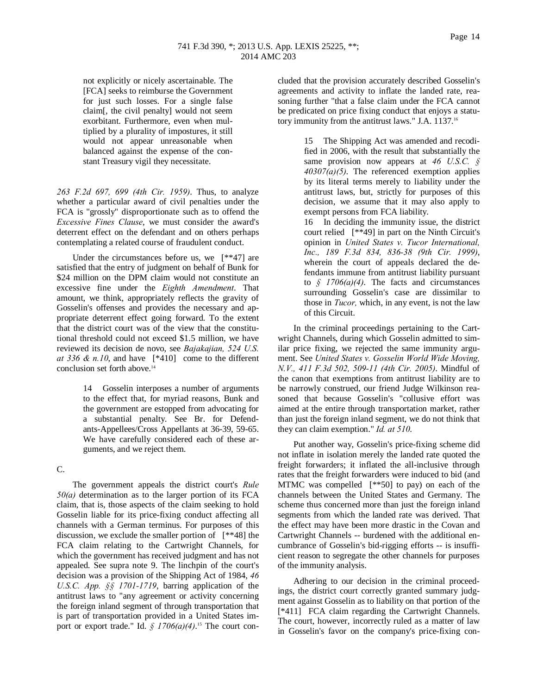not explicitly or nicely ascertainable. The [FCA] seeks to reimburse the Government for just such losses. For a single false claim[, the civil penalty] would not seem exorbitant. Furthermore, even when multiplied by a plurality of impostures, it still would not appear unreasonable when balanced against the expense of the constant Treasury vigil they necessitate.

*263 F.2d 697, 699 (4th Cir. 1959)*. Thus, to analyze whether a particular award of civil penalties under the FCA is "grossly" disproportionate such as to offend the *Excessive Fines Clause*, we must consider the award's deterrent effect on the defendant and on others perhaps contemplating a related course of fraudulent conduct.

Under the circumstances before us, we  $[**47]$  are satisfied that the entry of judgment on behalf of Bunk for \$24 million on the DPM claim would not constitute an excessive fine under the *Eighth Amendment*. That amount, we think, appropriately reflects the gravity of Gosselin's offenses and provides the necessary and appropriate deterrent effect going forward. To the extent that the district court was of the view that the constitutional threshold could not exceed \$1.5 million, we have reviewed its decision de novo, see *Bajakajian, 524 U.S. at* 336  $\&$  *n.10*, and have  $[*410]$  come to the different conclusion set forth above.<sup>14</sup>

> 14 Gosselin interposes a number of arguments to the effect that, for myriad reasons, Bunk and the government are estopped from advocating for a substantial penalty. See Br. for Defendants-Appellees/Cross Appellants at 36-39, 59-65. We have carefully considered each of these arguments, and we reject them.

C.

The government appeals the district court's *Rule 50(a)* determination as to the larger portion of its FCA claim, that is, those aspects of the claim seeking to hold Gosselin liable for its price-fixing conduct affecting all channels with a German terminus. For purposes of this discussion, we exclude the smaller portion of [\*\*48] the FCA claim relating to the Cartwright Channels, for which the government has received judgment and has not appealed. See supra note 9. The linchpin of the court's decision was a provision of the Shipping Act of 1984, *46 U.S.C. App. §§ 1701-1719*, barring application of the antitrust laws to "any agreement or activity concerning the foreign inland segment of through transportation that is part of transportation provided in a United States import or export trade." Id. *§ 1706(a)(4)*. <sup>15</sup> The court concluded that the provision accurately described Gosselin's agreements and activity to inflate the landed rate, reasoning further "that a false claim under the FCA cannot be predicated on price fixing conduct that enjoys a statutory immunity from the antitrust laws." J.A. 1137.<sup>16</sup>

> 15 The Shipping Act was amended and recodified in 2006, with the result that substantially the same provision now appears at *46 U.S.C. § 40307(a)(5)*. The referenced exemption applies by its literal terms merely to liability under the antitrust laws, but, strictly for purposes of this decision, we assume that it may also apply to exempt persons from FCA liability.

> 16 In deciding the immunity issue, the district court relied [\*\*49] in part on the Ninth Circuit's opinion in *United States v. Tucor International, Inc., 189 F.3d 834, 836-38 (9th Cir. 1999)*, wherein the court of appeals declared the defendants immune from antitrust liability pursuant to  $\int$  1706(a)(4). The facts and circumstances surrounding Gosselin's case are dissimilar to those in *Tucor,* which, in any event, is not the law of this Circuit.

In the criminal proceedings pertaining to the Cartwright Channels, during which Gosselin admitted to similar price fixing, we rejected the same immunity argument. See *United States v. Gosselin World Wide Moving, N.V., 411 F.3d 502, 509-11 (4th Cir. 2005)*. Mindful of the canon that exemptions from antitrust liability are to be narrowly construed, our friend Judge Wilkinson reasoned that because Gosselin's "collusive effort was aimed at the entire through transportation market, rather than just the foreign inland segment, we do not think that they can claim exemption." *Id. at 510*.

Put another way, Gosselin's price-fixing scheme did not inflate in isolation merely the landed rate quoted the freight forwarders; it inflated the all-inclusive through rates that the freight forwarders were induced to bid (and MTMC was compelled [\*\*50] to pay) on each of the channels between the United States and Germany. The scheme thus concerned more than just the foreign inland segments from which the landed rate was derived. That the effect may have been more drastic in the Covan and Cartwright Channels -- burdened with the additional encumbrance of Gosselin's bid-rigging efforts -- is insufficient reason to segregate the other channels for purposes of the immunity analysis.

Adhering to our decision in the criminal proceedings, the district court correctly granted summary judgment against Gosselin as to liability on that portion of the [\*411] FCA claim regarding the Cartwright Channels. The court, however, incorrectly ruled as a matter of law in Gosselin's favor on the company's price-fixing con